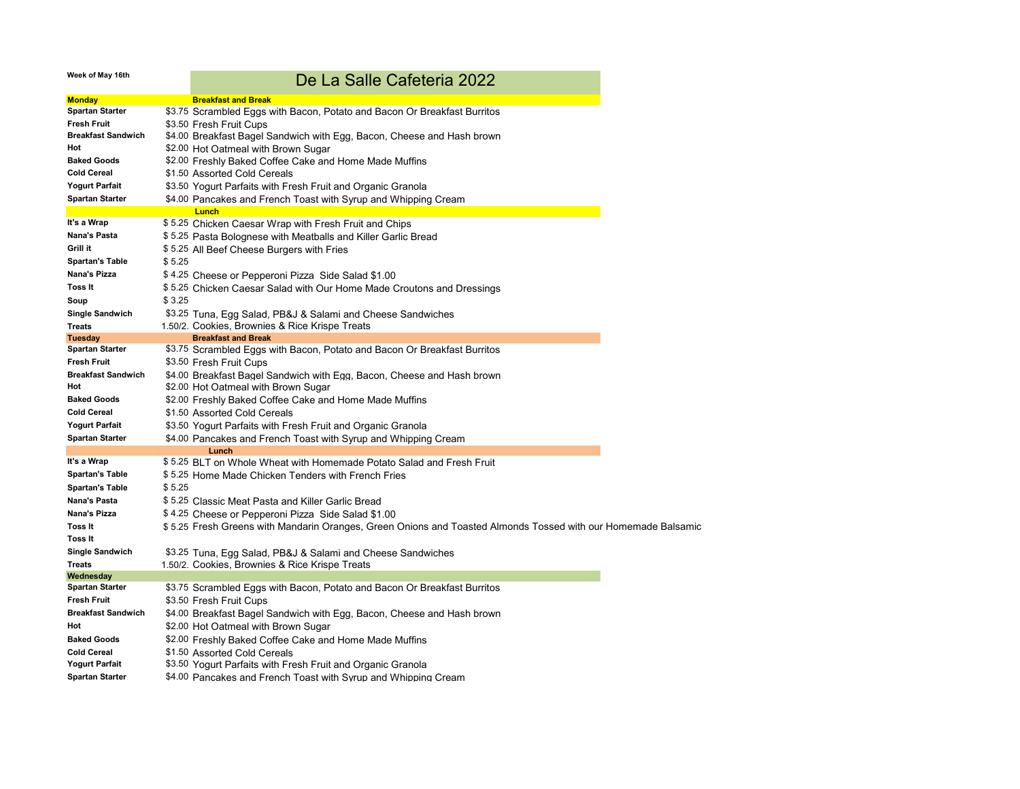## **Week of May 16th**

## De La Salle Cafeteria 2022

| <b>Monday</b>                    | <b>Breakfast and Break</b>                                                                                                                                           |
|----------------------------------|----------------------------------------------------------------------------------------------------------------------------------------------------------------------|
| <b>Spartan Starter</b>           | \$3.75 Scrambled Eggs with Bacon, Potato and Bacon Or Breakfast Burritos                                                                                             |
| Fresh Fruit                      | \$3.50 Fresh Fruit Cups                                                                                                                                              |
| <b>Breakfast Sandwich</b>        | \$4.00 Breakfast Bagel Sandwich with Egg, Bacon, Cheese and Hash brown                                                                                               |
| Hot                              | \$2.00 Hot Oatmeal with Brown Sugar                                                                                                                                  |
| <b>Baked Goods</b>               | \$2.00 Freshly Baked Coffee Cake and Home Made Muffins                                                                                                               |
| <b>Cold Cereal</b>               | \$1.50 Assorted Cold Cereals                                                                                                                                         |
| <b>Yogurt Parfait</b>            | \$3.50 Yogurt Parfaits with Fresh Fruit and Organic Granola                                                                                                          |
| Spartan Starter                  | \$4.00 Pancakes and French Toast with Syrup and Whipping Cream                                                                                                       |
|                                  | Lunch                                                                                                                                                                |
| It's a Wrap                      | \$ 5.25 Chicken Caesar Wrap with Fresh Fruit and Chips                                                                                                               |
| Nana's Pasta                     | \$ 5.25 Pasta Bolognese with Meatballs and Killer Garlic Bread                                                                                                       |
| Grill it                         | \$ 5.25 All Beef Cheese Burgers with Fries                                                                                                                           |
| Spartan's Table                  | \$5.25                                                                                                                                                               |
| Nana's Pizza                     | \$4.25 Cheese or Pepperoni Pizza Side Salad \$1.00                                                                                                                   |
| Toss It                          | \$ 5.25 Chicken Caesar Salad with Our Home Made Croutons and Dressings                                                                                               |
| Soup                             | \$ 3.25                                                                                                                                                              |
| <b>Single Sandwich</b>           | \$3.25 Tuna, Egg Salad, PB&J & Salami and Cheese Sandwiches                                                                                                          |
| Treats                           | 1.50/2. Cookies, Brownies & Rice Krispe Treats                                                                                                                       |
| Tuesday                          | <b>Breakfast and Break</b>                                                                                                                                           |
| <b>Spartan Starter</b>           | \$3.75 Scrambled Eggs with Bacon, Potato and Bacon Or Breakfast Burritos                                                                                             |
| Fresh Fruit                      | \$3.50 Fresh Fruit Cups                                                                                                                                              |
| <b>Breakfast Sandwich</b><br>Hot | \$4.00 Breakfast Bagel Sandwich with Egg, Bacon, Cheese and Hash brown                                                                                               |
|                                  | \$2.00 Hot Oatmeal with Brown Sugar                                                                                                                                  |
| <b>Baked Goods</b>               | \$2.00 Freshly Baked Coffee Cake and Home Made Muffins                                                                                                               |
| <b>Cold Cereal</b>               | \$1.50 Assorted Cold Cereals                                                                                                                                         |
| <b>Yogurt Parfait</b>            | \$3.50 Yogurt Parfaits with Fresh Fruit and Organic Granola                                                                                                          |
| Spartan Starter                  | \$4.00 Pancakes and French Toast with Syrup and Whipping Cream                                                                                                       |
| It's a Wrap                      | Lunch<br>\$ 5.25 BLT on Whole Wheat with Homemade Potato Salad and Fresh Fruit                                                                                       |
| <b>Spartan's Table</b>           | \$ 5.25 Home Made Chicken Tenders with French Fries                                                                                                                  |
| Spartan's Table                  | \$5.25                                                                                                                                                               |
| Nana's Pasta                     | \$ 5.25 Classic Meat Pasta and Killer Garlic Bread                                                                                                                   |
| Nana's Pizza                     |                                                                                                                                                                      |
| Toss It                          | \$4.25 Cheese or Pepperoni Pizza Side Salad \$1.00<br>\$ 5.25 Fresh Greens with Mandarin Oranges, Green Onions and Toasted Almonds Tossed with our Homemade Balsamic |
| <b>Toss It</b>                   |                                                                                                                                                                      |
| <b>Single Sandwich</b>           |                                                                                                                                                                      |
| <b>Treats</b>                    | \$3.25 Tuna, Egg Salad, PB&J & Salami and Cheese Sandwiches<br>1.50/2. Cookies, Brownies & Rice Krispe Treats                                                        |
| Wednesday                        |                                                                                                                                                                      |
| <b>Spartan Starter</b>           | \$3.75 Scrambled Eggs with Bacon, Potato and Bacon Or Breakfast Burritos                                                                                             |
| Fresh Fruit                      | \$3.50 Fresh Fruit Cups                                                                                                                                              |
| <b>Breakfast Sandwich</b>        | \$4.00 Breakfast Bagel Sandwich with Egg, Bacon, Cheese and Hash brown                                                                                               |
| Hot                              | \$2.00 Hot Oatmeal with Brown Sugar                                                                                                                                  |
| <b>Baked Goods</b>               | \$2.00 Freshly Baked Coffee Cake and Home Made Muffins                                                                                                               |
| <b>Cold Cereal</b>               | \$1.50 Assorted Cold Cereals                                                                                                                                         |
| Yogurt Parfait                   | \$3.50 Yogurt Parfaits with Fresh Fruit and Organic Granola                                                                                                          |
| <b>Spartan Starter</b>           | \$4.00 Pancakes and French Toast with Syrup and Whipping Cream                                                                                                       |
|                                  |                                                                                                                                                                      |